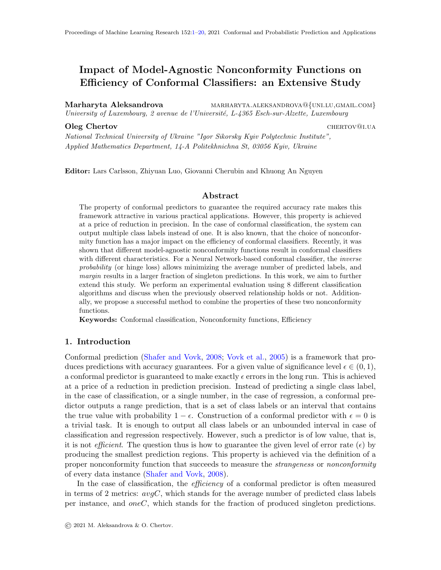# <span id="page-0-0"></span>Impact of Model-Agnostic Nonconformity Functions on Efficiency of Conformal Classifiers: an Extensive Study

Marharyta Aleksandrova MARHARYTA.ALEKSANDROVA@{UNI.LU,GMAIL.COM} University of Luxembourg, 2 avenue de l'Université, L- $4365$  Esch-sur-Alzette, Luxembourg

#### **Oleg Chertov** chertov chertov chertov chertov chertov chertov chertov chertov chertov chertov chertov chertov chertov chertov chertov chertov chertov chertov chertov chertov chertov chertov chertov chertov chertov chertov

National Technical University of Ukraine "Igor Sikorsky Kyiv Polytechnic Institute", Applied Mathematics Department, 14-A Politekhnichna St, 03056 Kyiv, Ukraine

Editor: Lars Carlsson, Zhiyuan Luo, Giovanni Cherubin and Khuong An Nguyen

#### Abstract

The property of conformal predictors to guarantee the required accuracy rate makes this framework attractive in various practical applications. However, this property is achieved at a price of reduction in precision. In the case of conformal classification, the system can output multiple class labels instead of one. It is also known, that the choice of nonconformity function has a major impact on the efficiency of conformal classifiers. Recently, it was shown that different model-agnostic nonconformity functions result in conformal classifiers with different characteristics. For a Neural Network-based conformal classifier, the *inverse* probability (or hinge loss) allows minimizing the average number of predicted labels, and margin results in a larger fraction of singleton predictions. In this work, we aim to further extend this study. We perform an experimental evaluation using 8 different classification algorithms and discuss when the previously observed relationship holds or not. Additionally, we propose a successful method to combine the properties of these two nonconformity functions.

Keywords: Conformal classification, Nonconformity functions, Efficiency

### 1. Introduction

Conformal prediction [\(Shafer and Vovk,](#page-19-1) [2008;](#page-19-1) [Vovk et al.,](#page-19-2) [2005\)](#page-19-2) is a framework that produces predictions with accuracy guarantees. For a given value of significance level  $\epsilon \in (0,1)$ , a conformal predictor is guaranteed to make exactly  $\epsilon$  errors in the long run. This is achieved at a price of a reduction in prediction precision. Instead of predicting a single class label, in the case of classification, or a single number, in the case of regression, a conformal predictor outputs a range prediction, that is a set of class labels or an interval that contains the true value with probability  $1 - \epsilon$ . Construction of a conformal predictor with  $\epsilon = 0$  is a trivial task. It is enough to output all class labels or an unbounded interval in case of classification and regression respectively. However, such a predictor is of low value, that is, it is not *efficient*. The question thus is how to guarantee the given level of error rate ( $\epsilon$ ) by producing the smallest prediction regions. This property is achieved via the definition of a proper nonconformity function that succeeds to measure the *strangeness* or *nonconformity* of every data instance [\(Shafer and Vovk,](#page-19-1) [2008\)](#page-19-1).

In the case of classification, the *efficiency* of a conformal predictor is often measured in terms of 2 metrics:  $avgC$ , which stands for the average number of predicted class labels per instance, and oneC, which stands for the fraction of produced singleton predictions.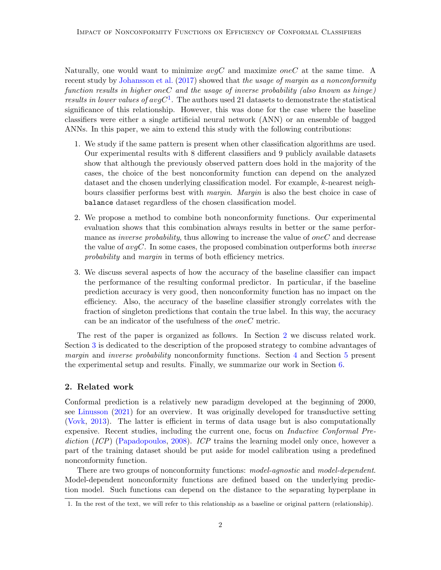Naturally, one would want to minimize  $avgC$  and maximize one C at the same time. A recent study by [Johansson et al.](#page-19-3) [\(2017\)](#page-19-3) showed that the usage of margin as a nonconformity function results in higher oneC and the usage of inverse probability (also known as hinge) results in lower values of  $avgC^1$  $avgC^1$ . The authors used 21 datasets to demonstrate the statistical significance of this relationship. However, this was done for the case where the baseline classifiers were either a single artificial neural network (ANN) or an ensemble of bagged ANNs. In this paper, we aim to extend this study with the following contributions:

- 1. We study if the same pattern is present when other classification algorithms are used. Our experimental results with 8 different classifiers and 9 publicly available datasets show that although the previously observed pattern does hold in the majority of the cases, the choice of the best nonconformity function can depend on the analyzed dataset and the chosen underlying classification model. For example, k-nearest neighbours classifier performs best with margin. Margin is also the best choice in case of balance dataset regardless of the chosen classification model.
- 2. We propose a method to combine both nonconformity functions. Our experimental evaluation shows that this combination always results in better or the same performance as *inverse probability*, thus allowing to increase the value of *oneC* and decrease the value of  $avgC$ . In some cases, the proposed combination outperforms both *inverse* probability and *margin* in terms of both efficiency metrics.
- 3. We discuss several aspects of how the accuracy of the baseline classifier can impact the performance of the resulting conformal predictor. In particular, if the baseline prediction accuracy is very good, then nonconformity function has no impact on the efficiency. Also, the accuracy of the baseline classifier strongly correlates with the fraction of singleton predictions that contain the true label. In this way, the accuracy can be an indicator of the usefulness of the  $oneC$  metric.

The rest of the paper is organized as follows. In Section [2](#page-1-1) we discuss related work. Section [3](#page-2-0) is dedicated to the description of the proposed strategy to combine advantages of margin and inverse probability nonconformity functions. Section [4](#page-3-0) and Section [5](#page-5-0) present the experimental setup and results. Finally, we summarize our work in Section [6.](#page-17-0)

## <span id="page-1-1"></span>2. Related work

Conformal prediction is a relatively new paradigm developed at the beginning of 2000, see [Linusson](#page-19-4) [\(2021\)](#page-19-4) for an overview. It was originally developed for transductive setting [\(Vovk,](#page-19-5) [2013\)](#page-19-5). The latter is efficient in terms of data usage but is also computationally expensive. Recent studies, including the current one, focus on *Inductive Conformal Pre-*diction (ICP) [\(Papadopoulos,](#page-19-6) [2008\)](#page-19-6). ICP trains the learning model only once, however a part of the training dataset should be put aside for model calibration using a predefined nonconformity function.

There are two groups of nonconformity functions: model-agnostic and model-dependent. Model-dependent nonconformity functions are defined based on the underlying prediction model. Such functions can depend on the distance to the separating hyperplane in

<span id="page-1-0"></span><sup>1.</sup> In the rest of the text, we will refer to this relationship as a baseline or original pattern (relationship).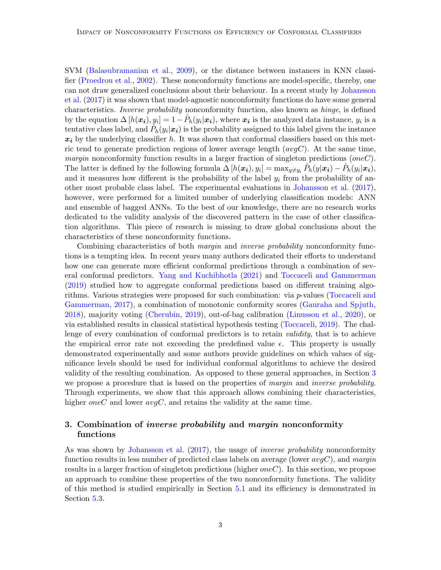SVM [\(Balasubramanian et al.,](#page-18-0) [2009\)](#page-18-0), or the distance between instances in KNN classifier [\(Proedrou et al.,](#page-19-7) [2002\)](#page-19-7). These nonconformity functions are model-specific, thereby, one can not draw generalized conclusions about their behaviour. In a recent study by [Johansson](#page-19-3) [et al.](#page-19-3) [\(2017\)](#page-19-3) it was shown that model-agnostic nonconformity functions do have some general characteristics. Inverse probability nonconformity function, also known as hinge, is defined by the equation  $\Delta[h(x_i), y_i] = 1 - \hat{P}_h(y_i|x_i)$ , where  $x_i$  is the analyzed data instance,  $y_i$  is a tentative class label, and  $\hat{P}_h(y_i|\bm{x_i})$  is the probability assigned to this label given the instance  $x_i$  by the underlying classifier h. It was shown that conformal classifiers based on this metric tend to generate prediction regions of lower average length  $(avgC)$ . At the same time, margin nonconformity function results in a larger fraction of singleton predictions  $(oneC)$ . The latter is defined by the following formula  $\Delta[h(\boldsymbol{x_i}), y_i] = \max_{y \neq y_i} \hat{P}_h(y|\boldsymbol{x_i}) - \hat{P}_h(y_i|\boldsymbol{x_i}),$ and it measures how different is the probability of the label  $y_i$  from the probability of another most probable class label. The experimental evaluations in [Johansson et al.](#page-19-3) [\(2017\)](#page-19-3), however, were performed for a limited number of underlying classification models: ANN and ensemble of bagged ANNs. To the best of our knowledge, there are no research works dedicated to the validity analysis of the discovered pattern in the case of other classification algorithms. This piece of research is missing to draw global conclusions about the characteristics of these nonconformity functions.

Combining characteristics of both margin and inverse probability nonconformity functions is a tempting idea. In recent years many authors dedicated their efforts to understand how one can generate more efficient conformal predictions through a combination of several conformal predictors. [Yang and Kuchibhotla](#page-19-8) [\(2021\)](#page-19-8) and [Toccaceli and Gammerman](#page-19-9) [\(2019\)](#page-19-9) studied how to aggregate conformal predictions based on different training algorithms. Various strategies were proposed for such combination: via p-values [\(Toccaceli and](#page-19-10) [Gammerman,](#page-19-10) [2017\)](#page-19-10), a combination of monotonic conformity scores [\(Gauraha and Spjuth,](#page-19-11) [2018\)](#page-19-11), majority voting [\(Cherubin,](#page-18-1) [2019\)](#page-18-1), out-of-bag calibration [\(Linusson et al.,](#page-19-12) [2020\)](#page-19-12), or via established results in classical statistical hypothesis testing [\(Toccaceli,](#page-19-13) [2019\)](#page-19-13). The challenge of every combination of conformal predictors is to retain *validity*, that is to achieve the empirical error rate not exceeding the predefined value  $\epsilon$ . This property is usually demonstrated experimentally and some authors provide guidelines on which values of significance levels should be used for individual conformal algorithms to achieve the desired validity of the resulting combination. As opposed to these general approaches, in Section [3](#page-2-0) we propose a procedure that is based on the properties of *margin* and *inverse probability*. Through experiments, we show that this approach allows combining their characteristics, higher oneC and lower  $avgC$ , and retains the validity at the same time.

## <span id="page-2-0"></span>3. Combination of *inverse probability* and *margin* nonconformity functions

As was shown by [Johansson et al.](#page-19-3) [\(2017\)](#page-19-3), the usage of *inverse probability* nonconformity function results in less number of predicted class labels on average (lower  $avgC$ ), and margin results in a larger fraction of singleton predictions (higher  $oneC$ ). In this section, we propose an approach to combine these properties of the two nonconformity functions. The validity of this method is studied empirically in Section [5.1](#page-5-1) and its efficiency is demonstrated in Section [5.3.](#page-7-0)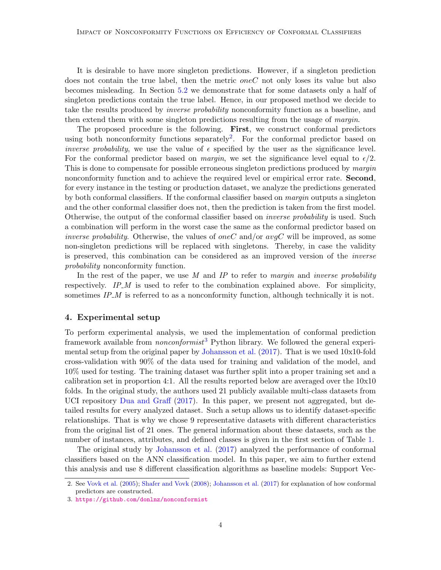It is desirable to have more singleton predictions. However, if a singleton prediction does not contain the true label, then the metric *oneC* not only loses its value but also becomes misleading. In Section [5.2](#page-6-0) we demonstrate that for some datasets only a half of singleton predictions contain the true label. Hence, in our proposed method we decide to take the results produced by inverse probability nonconformity function as a baseline, and then extend them with some singleton predictions resulting from the usage of *margin*.

The proposed procedure is the following. First, we construct conformal predictors using both nonconformity functions separately<sup>[2](#page-3-1)</sup>. For the conformal predictor based on inverse probability, we use the value of  $\epsilon$  specified by the user as the significance level. For the conformal predictor based on *margin*, we set the significance level equal to  $\epsilon/2$ . This is done to compensate for possible erroneous singleton predictions produced by *margin* nonconformity function and to achieve the required level or empirical error rate. **Second**, for every instance in the testing or production dataset, we analyze the predictions generated by both conformal classifiers. If the conformal classifier based on *margin* outputs a singleton and the other conformal classifier does not, then the prediction is taken from the first model. Otherwise, the output of the conformal classifier based on inverse probability is used. Such a combination will perform in the worst case the same as the conformal predictor based on inverse probability. Otherwise, the values of one C and/or  $avgC$  will be improved, as some non-singleton predictions will be replaced with singletons. Thereby, in case the validity is preserved, this combination can be considered as an improved version of the inverse probability nonconformity function.

In the rest of the paper, we use  $M$  and  $IP$  to refer to margin and inverse probability respectively. IP  $M$  is used to refer to the combination explained above. For simplicity, sometimes  $IP_{-}M$  is referred to as a nonconformity function, although technically it is not.

## <span id="page-3-0"></span>4. Experimental setup

To perform experimental analysis, we used the implementation of conformal prediction framework available from *nonconformist*<sup>[3](#page-3-2)</sup> Python library. We followed the general experimental setup from the original paper by [Johansson et al.](#page-19-3) [\(2017\)](#page-19-3). That is we used 10x10-fold cross-validation with 90% of the data used for training and validation of the model, and 10% used for testing. The training dataset was further split into a proper training set and a calibration set in proportion 4:1. All the results reported below are averaged over the  $10x10$ folds. In the original study, the authors used 21 publicly available multi-class datasets from UCI repository [Dua and Graff](#page-19-14) [\(2017\)](#page-19-14). In this paper, we present not aggregated, but detailed results for every analyzed dataset. Such a setup allows us to identify dataset-specific relationships. That is why we chose 9 representative datasets with different characteristics from the original list of 21 ones. The general information about these datasets, such as the number of instances, attributes, and defined classes is given in the first section of Table [1.](#page-4-0)

The original study by [Johansson et al.](#page-19-3) [\(2017\)](#page-19-3) analyzed the performance of conformal classifiers based on the ANN classification model. In this paper, we aim to further extend this analysis and use 8 different classification algorithms as baseline models: Support Vec-

<span id="page-3-1"></span><sup>2.</sup> See [Vovk et al.](#page-19-2) [\(2005\)](#page-19-2); [Shafer and Vovk](#page-19-1) [\(2008\)](#page-19-1); [Johansson et al.](#page-19-3) [\(2017\)](#page-19-3) for explanation of how conformal predictors are constructed.

<span id="page-3-2"></span><sup>3.</sup> <https://github.com/donlnz/nonconformist>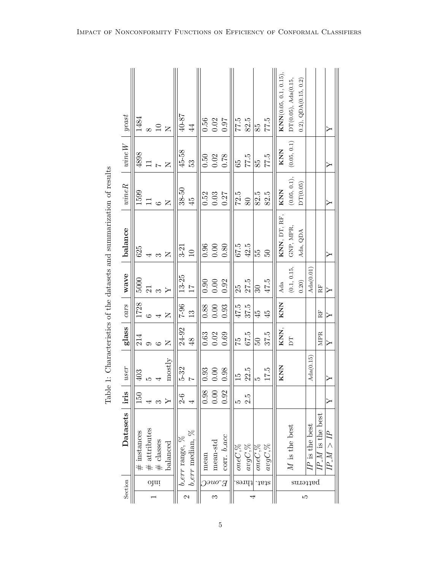<span id="page-4-0"></span>

|                                                                   |                                                |      |                                  |                  |                      |                       |          |                                                     |                                                       |                   |             |                       |              | $\textbf{KNN}(0.05, 0.1, 0.15),$ | $DT(0.05)$ , Ada $(0.15)$ | $(0.2)$ , QDA $(0.15, 0.2)$ |                  |                    |                |
|-------------------------------------------------------------------|------------------------------------------------|------|----------------------------------|------------------|----------------------|-----------------------|----------|-----------------------------------------------------|-------------------------------------------------------|-------------------|-------------|-----------------------|--------------|----------------------------------|---------------------------|-----------------------------|------------------|--------------------|----------------|
| $\boldsymbol{yeast}$                                              | 1484                                           |      | $\infty$ $\supseteq$ $\supseteq$ |                  | $40-87$              | $44\,$                |          |                                                     | $\begin{array}{c} 0.56 \\ 0.02 \\ 0.0 \\ \end{array}$ | $rac{c}{175}$     | 82.5        | $85^{\circ}$          | 77.5         |                                  |                           |                             |                  |                    | ≻              |
| $\ensuremath{\textit{vine}}\xspace\ensuremath{\textit{W}}\xspace$ | $\frac{4898}{11}$                              |      |                                  | $\geq$           | $45 - 58$            | 53                    | $0.50\,$ |                                                     | $\begin{array}{c} 0.02 \\ 0.78 \end{array}$           | 65                | 77.5        | 85                    | 77.5         | KNN                              | (0.05, 0.1)               |                             |                  |                    | ≻              |
| $\emph{wind}$                                                     | $\begin{array}{c} 1599 \\ 11 \\ 6 \end{array}$ |      |                                  | $\overline{z}$   | $\frac{38-50}{45}$   |                       | 0.52     | $0.03\,$                                            | $0.27\,$                                              | $\sqrt{2.5}$      | 80          | 82.5                  | 82.5         | KNN                              | $(0.05, 0.1)$ ,           | DT(0.05)                    |                  |                    | ≻              |
| balance                                                           | 625                                            |      |                                  | $\overline{z}$   | $3-21$               | 10                    | 0.96     | $0.00\,$                                            | $0.80\,$                                              | $rac{675}{10}$    | 42.5        | ςq                    | $50^{\circ}$ | KNN, DT, RF,                     | GNP, MPR,                 | Ada, QDA                    |                  |                    |                |
| wave                                                              | 5000                                           | 21   |                                  | $\triangleright$ | $\frac{13-25}{17}$   |                       |          | $\begin{array}{c} 0.90 \\ 0.00 \\ 0.92 \end{array}$ |                                                       | 25                | 27.5        | $\mathcal{S}$         | $47.5$       | Ada                              | (0.1, 0.15,               | $0.20)$                     | $\rm{Ada}(0.01)$ | $\rm RF$           | ≻              |
| cars                                                              | 1728                                           |      |                                  | $\overline{z}$   | $96 - 7$             | 13                    |          |                                                     | $\begin{array}{c} 0.88 \\ 0.00 \\ 0.93 \end{array}$   | 47.5              | 37.5        | $\frac{45}{4}$        | $\ddot{4}$   | KNN                              |                           |                             |                  | $R_{\rm H}$        | ≻              |
| glass                                                             | 214                                            |      | ပ                                | $\overline{z}$   | 24-92                | $48$                  | 0.63     | $0.02$<br>$0.69$                                    |                                                       | $\frac{c_1}{c_2}$ | $67.5$      | 65                    | 37.5         | KNN,                             | E                         |                             |                  | <b>MPR</b>         | $\succ$        |
| user                                                              | 403                                            | LO   |                                  | mostly           | $5 - 32$             | $\overline{a}$        | $\,0.93$ | $0.00$                                              | $0.98\,$                                              | $\overline{15}$   | 22.5        | JΩ                    | 17.5         | KNN                              |                           |                             | Ada(0.15)        |                    | ≻              |
| iris                                                              | 150                                            |      |                                  |                  | $2-6$                |                       | 0.98     | $0.00$                                              | 0.92                                                  | LC.               | 2.5         |                       |              |                                  |                           |                             |                  |                    |                |
| <b>Datasets</b>                                                   | $#$ instances                                  |      | $\#$ attributes $\#$ classes     | $balanced$       | $b\_err$ range, $\%$ | $b_error$ median, $%$ | mean     | mean-std                                            | corr. b_acc                                           | one $C,\!\%$      | $avgC,\!\%$ | one $C,\overline{\%}$ | $avgC, \%$   |                                  | $M$ is the best           |                             | $IP$ is the best | $IP_M$ is the best | $H \geq M > I$ |
| Section                                                           |                                                | ojui |                                  |                  |                      |                       |          |                                                     | $\bar{H}$                                             |                   | $s$ auqq    |                       | .tat.        |                                  |                           |                             | patterns         |                    |                |
|                                                                   |                                                |      |                                  |                  | $\mathfrak{a}$       |                       |          | S                                                   |                                                       |                   |             |                       |              |                                  |                           | ΙQ.                         |                  |                    |                |

Table 1: Characteristics of the datasets and summarization of results Table 1: Characteristics of the datasets and summarization of results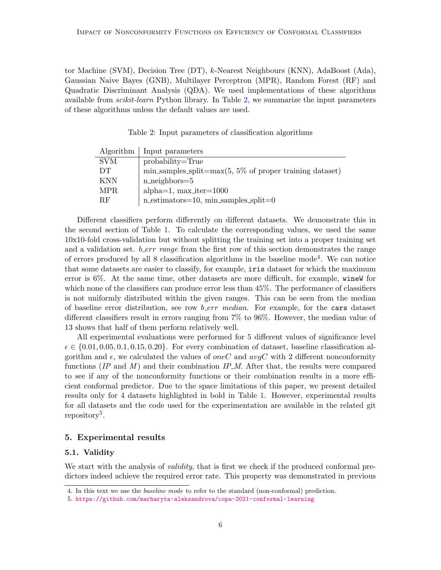tor Machine (SVM), Decision Tree (DT), k-Nearest Neighbours (KNN), AdaBoost (Ada), Gaussian Naive Bayes (GNB), Multilayer Perceptron (MPR), Random Forest (RF) and Quadratic Discriminant Analysis (QDA). We used implementations of these algorithms available from scikit-learn Python library. In Table [2,](#page-5-2) we summarize the input parameters of these algorithms unless the default values are used.

<span id="page-5-2"></span>Table 2: Input parameters of classification algorithms

| Algorithm  | Input parameters                                                       |
|------------|------------------------------------------------------------------------|
| <b>SVM</b> | $probability = True$                                                   |
| DТ         | $\min$ _samples_split= $\max(5, 5\%$ of proper training dataset)       |
| <b>KNN</b> | $n\_{neighbour} = 5$                                                   |
| MPR.       | alpha= $1$ , max_iter= $1000$                                          |
| RF.        | $n_{\text{estimators}} = 10$ , $min_{\text{samples}} \text{split} = 0$ |

Different classifiers perform differently on different datasets. We demonstrate this in the second section of Table [1.](#page-4-0) To calculate the corresponding values, we used the same 10x10-fold cross-validation but without splitting the training set into a proper training set and a validation set.  $b_error$  range from the first row of this section demonstrates the range of errors produced by all 8 classification algorithms in the baseline mode<sup>[4](#page-5-3)</sup>. We can notice that some datasets are easier to classify, for example, iris dataset for which the maximum error is 6%. At the same time, other datasets are more difficult, for example, wineW for which none of the classifiers can produce error less than  $45\%$ . The performance of classifiers is not uniformly distributed within the given ranges. This can be seen from the median of baseline error distribution, see row *b\_err median*. For example, for the cars dataset different classifiers result in errors ranging from 7% to 96%. However, the median value of 13 shows that half of them perform relatively well.

All experimental evaluations were performed for 5 different values of significance level  $\epsilon \in \{0.01, 0.05, 0.1, 0.15, 0.20\}$ . For every combination of dataset, baseline classification algorithm and  $\epsilon$ , we calculated the values of oneC and  $avgC$  with 2 different nonconformity functions  $(IP \text{ and } M)$  and their combination  $IP.M$ . After that, the results were compared to see if any of the nonconformity functions or their combination results in a more efficient conformal predictor. Due to the space limitations of this paper, we present detailed results only for 4 datasets highlighted in bold in Table [1.](#page-4-0) However, experimental results for all datasets and the code used for the experimentation are available in the related git repository<sup>[5](#page-5-4)</sup>.

## <span id="page-5-0"></span>5. Experimental results

## <span id="page-5-1"></span>5.1. Validity

We start with the analysis of *validity*, that is first we check if the produced conformal predictors indeed achieve the required error rate. This property was demonstrated in previous

<span id="page-5-3"></span><sup>4.</sup> In this text we use the baseline mode to refer to the standard (non-conformal) prediction.

<span id="page-5-4"></span><sup>5.</sup> <https://github.com/marharyta-aleksandrova/copa-2021-conformal-learning>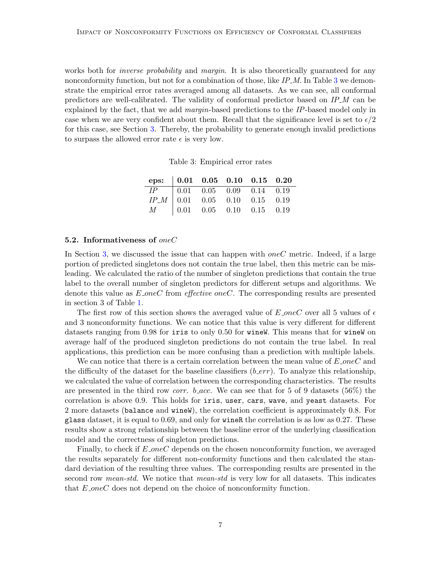works both for *inverse probability* and *margin*. It is also theoretically guaranteed for any nonconformity function, but not for a combination of those, like IP\_M. In Table [3](#page-6-1) we demonstrate the empirical error rates averaged among all datasets. As we can see, all conformal predictors are well-calibrated. The validity of conformal predictor based on  $IP_{-}M$  can be explained by the fact, that we add margin-based predictions to the IP-based model only in case when we are very confident about them. Recall that the significance level is set to  $\epsilon/2$ for this case, see Section [3.](#page-2-0) Thereby, the probability to generate enough invalid predictions to surpass the allowed error rate  $\epsilon$  is very low.

<span id="page-6-1"></span>Table 3: Empirical error rates

| eps: $\begin{array}{ ccc} 0.01 & 0.05 & 0.10 & 0.15 & 0.20 \end{array}$                                                                                                                          |  |  |  |
|--------------------------------------------------------------------------------------------------------------------------------------------------------------------------------------------------|--|--|--|
|                                                                                                                                                                                                  |  |  |  |
|                                                                                                                                                                                                  |  |  |  |
| $\begin{array}{ c cccc } \hline IP & 0.01 & 0.05 & 0.09 & 0.14 & 0.19 \ \hline IP_{\rm }M & 0.01 & 0.05 & 0.10 & 0.15 & 0.19 \ \hline M & 0.01 & 0.05 & 0.10 & 0.15 & 0.19 \ \hline \end{array}$ |  |  |  |

#### <span id="page-6-0"></span>5.2. Informativeness of oneC

In Section [3,](#page-2-0) we discussed the issue that can happen with *oneC* metric. Indeed, if a large portion of predicted singletons does not contain the true label, then this metric can be misleading. We calculated the ratio of the number of singleton predictions that contain the true label to the overall number of singleton predictors for different setups and algorithms. We denote this value as  $E\text{-}oneC$  from *effective oneC*. The corresponding results are presented in section 3 of Table [1.](#page-4-0)

The first row of this section shows the averaged value of E one C over all 5 values of  $\epsilon$ and 3 nonconformity functions. We can notice that this value is very different for different datasets ranging from 0.98 for iris to only 0.50 for wineW. This means that for wineW on average half of the produced singleton predictions do not contain the true label. In real applications, this prediction can be more confusing than a prediction with multiple labels.

We can notice that there is a certain correlation between the mean value of  $E\_{one}C$  and the difficulty of the dataset for the baseline classifiers  $(b\_err)$ . To analyze this relationship, we calculated the value of correlation between the corresponding characteristics. The results are presented in the third row *corr.* b *acc*. We can see that for 5 of 9 datasets (56%) the correlation is above 0.9. This holds for iris, user, cars, wave, and yeast datasets. For 2 more datasets (balance and wineW), the correlation coefficient is approximately 0.8. For glass dataset, it is equal to  $0.69$ , and only for wineR the correlation is as low as  $0.27$ . These results show a strong relationship between the baseline error of the underlying classification model and the correctness of singleton predictions.

Finally, to check if  $E\textsubscript{one}C$  depends on the chosen nonconformity function, we averaged the results separately for different non-conformity functions and then calculated the standard deviation of the resulting three values. The corresponding results are presented in the second row *mean-std*. We notice that *mean-std* is very low for all datasets. This indicates that  $E\_{one}$ C does not depend on the choice of nonconformity function.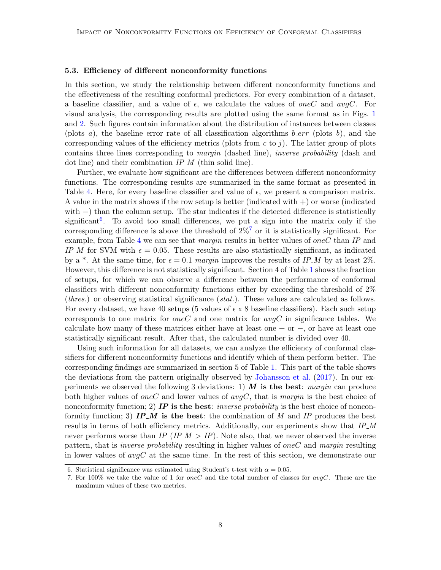#### <span id="page-7-0"></span>5.3. Efficiency of different nonconformity functions

In this section, we study the relationship between different nonconformity functions and the effectiveness of the resulting conformal predictors. For every combination of a dataset, a baseline classifier, and a value of  $\epsilon$ , we calculate the values of oneC and avgC. For visual analysis, the corresponding results are plotted using the same format as in Figs. [1](#page-9-0) and [2.](#page-10-0) Such figures contain information about the distribution of instances between classes (plots a), the baseline error rate of all classification algorithms  $b\_err$  (plots b), and the corresponding values of the efficiency metrics (plots from  $c$  to j). The latter group of plots contains three lines corresponding to margin (dashed line), inverse probability (dash and dot line) and their combination  $IP_{\mathcal{M}}$  (thin solid line).

Further, we evaluate how significant are the differences between different nonconformity functions. The corresponding results are summarized in the same format as presented in Table [4.](#page-11-0) Here, for every baseline classifier and value of  $\epsilon$ , we present a comparison matrix. A value in the matrix shows if the row setup is better (indicated with  $+)$ ) or worse (indicated with  $-$ ) than the column setup. The star indicates if the detected difference is statistically significant<sup>[6](#page-7-1)</sup>. To avoid too small differences, we put a sign into the matrix only if the corresponding difference is above the threshold of  $2\%$ <sup>[7](#page-7-2)</sup> or it is statistically significant. For example, from Table [4](#page-11-0) we can see that *margin* results in better values of *oneC* than IP and IP M for SVM with  $\epsilon = 0.05$ . These results are also statistically significant, as indicated by a \*. At the same time, for  $\epsilon = 0.1$  margin improves the results of IP\_M by at least 2%. However, this difference is not statistically significant. Section 4 of Table [1](#page-4-0) shows the fraction of setups, for which we can observe a difference between the performance of conformal classifiers with different nonconformity functions either by exceeding the threshold of 2% (thres.) or observing statistical significance (stat.). These values are calculated as follows. For every dataset, we have 40 setups (5 values of  $\epsilon \times 8$  baseline classifiers). Each such setup corresponds to one matrix for *oneC* and one matrix for  $avgC$  in significance tables. We calculate how many of these matrices either have at least one + or  $-$ , or have at least one statistically significant result. After that, the calculated number is divided over 40.

Using such information for all datasets, we can analyze the efficiency of conformal classifiers for different nonconformity functions and identify which of them perform better. The corresponding findings are summarized in section 5 of Table [1.](#page-4-0) This part of the table shows the deviations from the pattern originally observed by [Johansson et al.](#page-19-3) [\(2017\)](#page-19-3). In our experiments we observed the following 3 deviations: 1)  $\vec{M}$  is the best: margin can produce both higher values of oneC and lower values of  $avgC$ , that is margin is the best choice of nonconformity function; 2) **IP** is the best: *inverse probability* is the best choice of nonconformity function; 3)  $IP_{-}M$  is the best: the combination of M and IP produces the best results in terms of both efficiency metrics. Additionally, our experiments show that  $IP_M$ never performs worse than IP (IP  $\Delta M > I$ ). Note also, that we never observed the inverse pattern, that is inverse probability resulting in higher values of oneC and margin resulting in lower values of  $avgC$  at the same time. In the rest of this section, we demonstrate our

<span id="page-7-1"></span><sup>6.</sup> Statistical significance was estimated using Student's t-test with  $\alpha = 0.05$ .

<span id="page-7-2"></span><sup>7.</sup> For 100% we take the value of 1 for oneC and the total number of classes for avgC. These are the maximum values of these two metrics.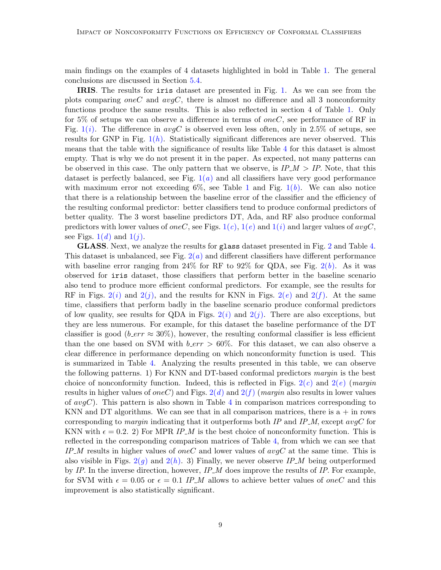main findings on the examples of 4 datasets highlighted in bold in Table [1.](#page-4-0) The general conclusions are discussed in Section [5.4.](#page-12-0)

IRIS. The results for iris dataset are presented in Fig. [1.](#page-9-0) As we can see from the plots comparing one C and  $avgC$ , there is almost no difference and all 3 nonconformity functions produce the same results. This is also reflected in section 4 of Table [1.](#page-4-0) Only for 5% of setups we can observe a difference in terms of *oneC*, see performance of RF in Fig. [1\(](#page-9-1)*i*). The difference in  $avgC$  is observed even less often, only in 2.5% of setups, see results for GNP in Fig.  $1(h)$  $1(h)$ . Statistically significant differences are never observed. This means that the table with the significance of results like Table [4](#page-11-0) for this dataset is almost empty. That is why we do not present it in the paper. As expected, not many patterns can be observed in this case. The only pattern that we observe, is  $IP_M > IP$ . Note, that this dataset is perfectly balanced, see Fig.  $1(a)$  $1(a)$  and all classifiers have very good performance with maximum error not exceeding 6%, see Table [1](#page-4-0) and Fig.  $1(b)$  $1(b)$ . We can also notice that there is a relationship between the baseline error of the classifier and the efficiency of the resulting conformal predictor: better classifiers tend to produce conformal predictors of better quality. The 3 worst baseline predictors DT, Ada, and RF also produce conformal predictors with lower values of one C, see Figs.  $1(c)$  $1(c)$ ,  $1(e)$  and  $1(i)$  and larger values of  $avgC$ , see Figs.  $1(d)$  $1(d)$  and  $1(i)$ .

GLASS. Next, we analyze the results for glass dataset presented in Fig. [2](#page-10-0) and Table [4.](#page-11-0) This dataset is unbalanced, see Fig.  $2(a)$  $2(a)$  and different classifiers have different performance with baseline error ranging from  $24\%$  for RF to  $92\%$  for QDA, see Fig.  $2(b)$  $2(b)$ . As it was observed for iris dataset, those classifiers that perform better in the baseline scenario also tend to produce more efficient conformal predictors. For example, see the results for RF in Figs.  $2(i)$  $2(i)$  and  $2(j)$ , and the results for KNN in Figs.  $2(e)$  and  $2(f)$ . At the same time, classifiers that perform badly in the baseline scenario produce conformal predictors of low quality, see results for QDA in Figs.  $2(i)$  $2(i)$  and  $2(j)$ . There are also exceptions, but they are less numerous. For example, for this dataset the baseline performance of the DT classifier is good (*b\_err*  $\approx 30\%$ ), however, the resulting conformal classifier is less efficient than the one based on SVM with  $b_error > 60\%$ . For this dataset, we can also observe a clear difference in performance depending on which nonconformity function is used. This is summarized in Table [4.](#page-11-0) Analyzing the results presented in this table, we can observe the following patterns. 1) For KNN and DT-based conformal predictors margin is the best choice of nonconformity function. Indeed, this is reflected in Figs.  $2(c)$  $2(c)$  and  $2(e)$  (margin results in higher values of oneC) and Figs.  $2(d)$  $2(d)$  and  $2(f)$  (margin also results in lower values of  $avgC$ ). This pattern is also shown in Table [4](#page-11-0) in comparison matrices corresponding to KNN and DT algorithms. We can see that in all comparison matrices, there is  $a + in$  rows corresponding to *margin* indicating that it outperforms both IP and IP\_M, except  $avgC$  for KNN with  $\epsilon = 0.2$ . 2) For MPR IP M is the best choice of nonconformity function. This is reflected in the corresponding comparison matrices of Table [4,](#page-11-0) from which we can see that IP\_M results in higher values of oneC and lower values of  $avgC$  at the same time. This is also visible in Figs.  $2(q)$  $2(q)$  and  $2(h)$ . 3) Finally, we never observe IP\_M being outperformed by IP. In the inverse direction, however,  $IP_M$  does improve the results of IP. For example, for SVM with  $\epsilon = 0.05$  or  $\epsilon = 0.1$  IP M allows to achieve better values of oneC and this improvement is also statistically significant.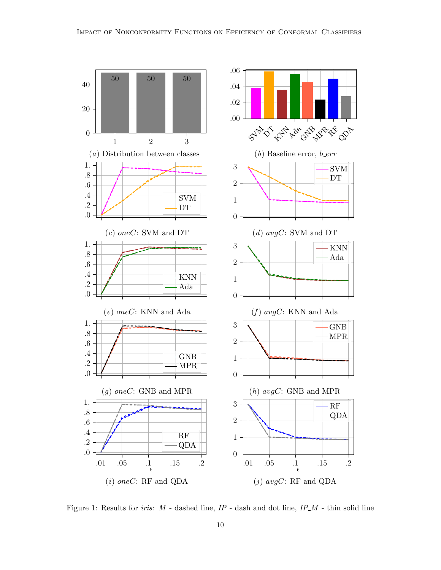<span id="page-9-7"></span><span id="page-9-5"></span><span id="page-9-4"></span><span id="page-9-3"></span>

<span id="page-9-8"></span><span id="page-9-6"></span><span id="page-9-2"></span><span id="page-9-1"></span><span id="page-9-0"></span>Figure 1: Results for *iris*:  $M$  - dashed line,  $IP$  - dash and dot line,  $IP_M$  - thin solid line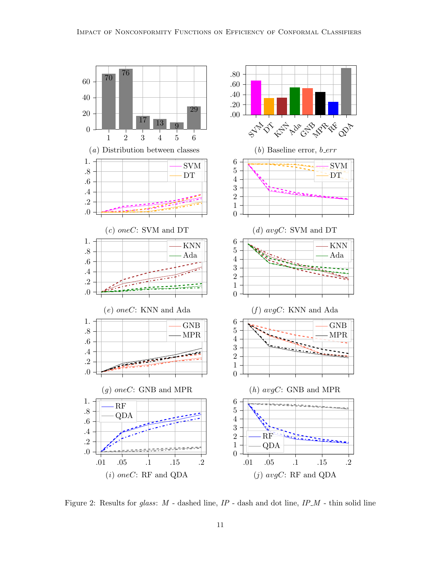<span id="page-10-8"></span><span id="page-10-7"></span><span id="page-10-2"></span><span id="page-10-1"></span>

<span id="page-10-10"></span><span id="page-10-9"></span><span id="page-10-6"></span><span id="page-10-5"></span><span id="page-10-4"></span><span id="page-10-3"></span><span id="page-10-0"></span>Figure 2: Results for glass:  $M$  - dashed line,  $IP$  - dash and dot line,  $IP_M$  - thin solid line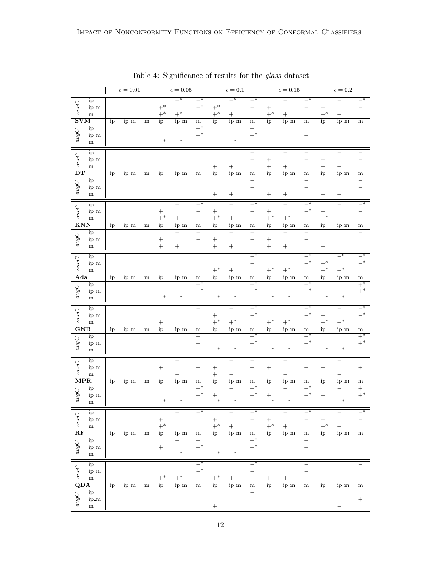|                                                                                                                                        |                        |    | $\epsilon=0.01$ |           |                  | $\epsilon=0.05$          |                            |                                       | $\epsilon=0.1$           |                            |                  | $\epsilon=0.15$ |                          |              | $\epsilon=0.2$           |                          |
|----------------------------------------------------------------------------------------------------------------------------------------|------------------------|----|-----------------|-----------|------------------|--------------------------|----------------------------|---------------------------------------|--------------------------|----------------------------|------------------|-----------------|--------------------------|--------------|--------------------------|--------------------------|
|                                                                                                                                        | ip                     |    |                 |           |                  | $\overline{\phantom{1}}$ | $\overline{\phantom{1}}^*$ |                                       | $\overline{\phantom{0}}$ | $\overline{\phantom{1}}^*$ |                  |                 | $-$ *                    |              |                          |                          |
| oneC                                                                                                                                   | ip_m                   |    |                 |           | $+^*$            |                          | $-*$                       | $+^*$                                 |                          |                            | $^{+}$           |                 |                          | $^{+}$       |                          |                          |
|                                                                                                                                        | m                      |    |                 |           | $+^*$            | $+^{\ast}$               |                            | $+^*$                                 | $+$                      |                            | $+^*$            | $^{+}$          |                          | $+^*$        |                          |                          |
| $\overline{\textbf{SVM}}$                                                                                                              |                        | ip | ip_m            | ${\rm m}$ | ip               | ip_m                     | ${\bf m}$                  | ip                                    | ip_m                     | ${\rm m}$                  | ip               | ip_m            | ${\bf m}$                | ip           | ip_m                     | ${\bf m}$                |
|                                                                                                                                        | ip                     |    |                 |           |                  |                          | $+\ast$                    |                                       |                          | $+$                        |                  |                 |                          |              |                          |                          |
| $avgC$                                                                                                                                 | ip_m                   |    |                 |           | $-*$             | $-*$                     | $+^*$                      |                                       | $_{-*}$                  | $+^*$                      |                  |                 |                          |              |                          |                          |
|                                                                                                                                        | ${\bf m}$              |    |                 |           |                  |                          |                            |                                       |                          |                            |                  |                 |                          |              |                          |                          |
|                                                                                                                                        | ip                     |    |                 |           |                  |                          |                            |                                       |                          |                            |                  |                 | -                        |              |                          |                          |
| $oneC$                                                                                                                                 | ip_m                   |    |                 |           |                  |                          |                            |                                       |                          |                            | $^{+}$           |                 |                          | $^{+}$       |                          |                          |
|                                                                                                                                        | m                      |    |                 |           |                  |                          |                            |                                       |                          |                            | $\boldsymbol{+}$ |                 |                          | $^{+}$       |                          |                          |
| $\overline{\mathbf{DT}}$                                                                                                               |                        | ip | ip_m            | ${\bf m}$ | ip               | ip_m                     | ${\bf m}$                  | ip                                    | ip_m                     | m                          | ip               | ip_m            | ${\rm m}$                | ip           | ip_m                     | ${\bf m}$                |
| $avgC$                                                                                                                                 | ip                     |    |                 |           |                  |                          |                            |                                       |                          |                            |                  |                 | —                        |              |                          |                          |
|                                                                                                                                        | ip_m                   |    |                 |           |                  |                          |                            |                                       |                          |                            |                  |                 | —                        |              |                          |                          |
|                                                                                                                                        | ${\bf m}$              |    |                 |           |                  |                          |                            | $^{+}$                                | $^{+}$                   |                            |                  | $^{+}$          |                          | $^{+}$       | $^{+}$                   |                          |
|                                                                                                                                        | ip                     |    |                 |           |                  |                          | $-*$                       |                                       |                          | $-*$                       |                  |                 | $-*$                     |              |                          | ∗                        |
| oneC                                                                                                                                   | ip_m                   |    |                 |           | $\boldsymbol{+}$ |                          |                            | $^{+}$                                |                          |                            |                  |                 | $-$ *                    | $^{+}$       |                          |                          |
|                                                                                                                                        | m                      |    |                 |           | $+^*$            |                          |                            | $+^*$                                 | $\boldsymbol{+}$         |                            | $+^*$            | $+^{\ast}$      |                          | $+^*$        |                          |                          |
| <b>KNN</b>                                                                                                                             |                        | ip | ip_m            | ${\bf m}$ | ip               | ip_m                     | m                          | ip                                    | ip_m                     | m                          | ip               | ip_m            | ${\rm m}$                | ip           | ip_m                     | ${\bf m}$                |
| $avgC$                                                                                                                                 | ip                     |    |                 |           |                  | $\overline{\phantom{0}}$ |                            |                                       |                          |                            |                  |                 | $\qquad \qquad -$        |              |                          |                          |
|                                                                                                                                        | ip_m                   |    |                 |           | $^{+}$           |                          |                            | $^{+}$                                |                          |                            | $^{+}$           |                 | $\overline{\phantom{0}}$ |              |                          |                          |
|                                                                                                                                        | ${\bf m}$              |    |                 |           | $^{+}$           | $^{+}$                   |                            | $^{+}$                                | $^{+}$                   |                            |                  | $^{+}$          |                          | $^{+}$       |                          |                          |
|                                                                                                                                        | ip                     |    |                 |           |                  |                          |                            |                                       |                          | $\overline{\phantom{0}}^*$ |                  |                 | $\overline{\phantom{0}}$ |              | $\overline{\phantom{0}}$ | $\overline{\phantom{1}}$ |
| $oneC$                                                                                                                                 | ip_m                   |    |                 |           |                  |                          |                            |                                       |                          | —                          |                  |                 | $-$ *                    | $+^*$        |                          | $-*$                     |
|                                                                                                                                        | m                      |    |                 |           |                  |                          |                            | $+^*$                                 | $\! + \!$                |                            | $+^*$            | $+^*$           |                          | $+^*$        | $+^*$                    |                          |
| Ada                                                                                                                                    |                        | ip | ip_m            | ${\bf m}$ | ip               | ip_m                     | ${\bf m}$                  | ip                                    | ip_m                     | ${\bf m}$                  | ip               | ip_m            | ${\bf m}$                | ip           | ip_m                     | ${\bf m}$                |
| $avgC$                                                                                                                                 | ip                     |    |                 |           |                  |                          | $+\ast$                    |                                       |                          | $\overline{+^*}$           |                  |                 | $\overline{+^*}$         |              |                          | $+\ast$                  |
|                                                                                                                                        | ip_m<br>${\bf m}$      |    |                 |           | —*               | $-*$                     | $+^*$                      | $-*$                                  | $_{-*}$                  | $+^*$                      |                  |                 | $+^*$                    |              | $-*$                     | $+^*$                    |
|                                                                                                                                        |                        |    |                 |           |                  |                          |                            |                                       |                          |                            |                  |                 |                          |              |                          |                          |
|                                                                                                                                        |                        |    |                 |           |                  |                          |                            |                                       |                          |                            | _∗               | $-*$            |                          | —*           |                          |                          |
|                                                                                                                                        | ip                     |    |                 |           |                  |                          | $\overline{\phantom{0}}$   |                                       | $\overline{\phantom{0}}$ | $-$ *                      |                  |                 | $-*$                     |              | $\equiv$                 | $-*$                     |
|                                                                                                                                        | ip_m                   |    |                 |           |                  |                          |                            |                                       |                          | $-^{\ast}$                 |                  |                 | $-$ *                    | $^{+}$       |                          | $-$ *                    |
| $oneC$                                                                                                                                 | m                      |    |                 |           | $^{+}$           |                          |                            | $+^*$                                 | $+^*$                    |                            | $+^*$            | $+^*$           |                          | $+^*$        | $+^{\ast}$               |                          |
| $\overline{\textbf{GNB}}$                                                                                                              |                        | ip | ip_m            | ${\bf m}$ | ip               | ip_m                     | ${\bf m}$                  | ip                                    | ip_m                     | ${\bf m}$                  | ip               | ip_m            | m                        | ip           | ip_m                     | ${\bf m}$                |
|                                                                                                                                        | ip                     |    |                 |           |                  |                          | $+$                        |                                       |                          | $+^*$                      |                  |                 | $+^*$                    |              |                          | $+^*$                    |
|                                                                                                                                        | ip_m                   |    |                 |           |                  |                          | $^{+}$                     | $-*$                                  | $-*$                     | $+^*$                      | $_{-*}$          | $-$ *           | $+^*$                    | $-*$         | $-*$                     | $+^*$                    |
| $\alpha v g C$                                                                                                                         | ${\bf m}$              |    |                 |           |                  |                          |                            |                                       |                          |                            |                  |                 |                          |              |                          |                          |
|                                                                                                                                        | ip                     |    |                 |           |                  | $\overline{\phantom{0}}$ |                            |                                       |                          | $\overline{\phantom{0}}$   |                  |                 |                          |              |                          |                          |
|                                                                                                                                        | ip_m                   |    |                 |           |                  |                          | $\boldsymbol{+}$           | $^{+}$                                |                          | $\! + \!$                  | $^{+}$           |                 |                          | $^{+}$       |                          | $\boldsymbol{+}$         |
| $oneC$                                                                                                                                 | m                      |    |                 |           |                  |                          |                            | $\ddot{}$                             |                          |                            |                  |                 |                          |              |                          |                          |
| $\overline{\text{MPR}}$                                                                                                                |                        | ip | ip_m            | ${\bf m}$ | ip               | ip_m                     | ${\bf m}$                  | ip                                    | ip_m                     | ${\bf m}$                  | ip               | ip_m            | ${\bf m}$                | ip           | ip_m                     | ${\bf m}$                |
|                                                                                                                                        | ip                     |    |                 |           |                  |                          | $+^*$                      |                                       |                          | $+^*$                      |                  |                 | $+^*$                    |              |                          | $+$                      |
| $avgC$                                                                                                                                 | ip_m                   |    |                 |           | .∗               | ∗                        | $+^{\ast}$                 | $-*$                                  | $^{-*}$                  | $+^*$                      | $_{-*}$          | $-*$            | $+^{\ast}$               | $^{+}$       | $-*$                     | $+^*$                    |
|                                                                                                                                        | $\mathbf{m}$           |    |                 |           |                  |                          |                            |                                       |                          |                            |                  |                 |                          |              |                          |                          |
|                                                                                                                                        | ip                     |    |                 |           |                  |                          | $_{-*}$                    |                                       |                          | $\overline{-}$             |                  |                 | $\overline{\phantom{a}}$ |              |                          | $\overline{\phantom{0}}$ |
|                                                                                                                                        | ip_m                   |    |                 |           |                  |                          |                            |                                       |                          |                            | $\boldsymbol{+}$ |                 |                          |              |                          |                          |
| $oneC$                                                                                                                                 | ${\bf m}$              |    |                 |           | $+$              |                          |                            | $\begin{array}{c} + \\ + \end{array}$ | $\! + \!$                |                            | $+^*$            | $\ddot{}$       |                          | $+$<br>$+$ * | $^{+}$                   |                          |
| $\overline{\text{RF}}$                                                                                                                 |                        | ip | ip_m            | ${\bf m}$ | ip               | ip_m                     | ${\bf m}$                  | ip                                    | ip_m                     | ${\bf m}$                  | ip               | ip_m            | ${\bf m}$                | ip           | ip_m                     | ${\bf m}$                |
|                                                                                                                                        | ip                     |    |                 |           |                  | $\qquad \qquad -$        |                            |                                       |                          | $+\ast$                    |                  |                 | $+$                      |              |                          |                          |
|                                                                                                                                        | $ip_m$<br>$\mathbf{m}$ |    |                 |           | $\overline{a}$   | $-*$                     | $+$<br>$+$ *               | $-*$                                  | $-*$                     | $+^{\ast}$                 |                  |                 | $\ddot{}$                |              |                          |                          |
| $\left\lfloor \, avgC \,\right\rfloor$                                                                                                 |                        |    |                 |           |                  |                          |                            |                                       |                          |                            |                  |                 |                          |              |                          |                          |
|                                                                                                                                        | ip                     |    |                 |           |                  |                          | $\overline{\phantom{0}}^*$ |                                       |                          | $\overline{\phantom{0}}^*$ |                  |                 | $\qquad \qquad -$        |              |                          |                          |
|                                                                                                                                        | ip_m                   |    |                 |           |                  |                          | $-$ *                      |                                       |                          |                            |                  |                 |                          |              |                          |                          |
|                                                                                                                                        | ${\bf m}$              |    |                 |           | $+^*$            | $+^{\ast}$               |                            | $+^*$                                 | $\boldsymbol{+}$         |                            |                  | $+$             |                          |              |                          |                          |
| $\begin{array}{c}\n\hline\n\text{Q} & \text{I}_1 \\ \text{Q} & \text{I}_2 \\ \text{S} & \text{I}_1 \\ \hline\n\text{QDA}\n\end{array}$ |                        | ip | ip_m            | ${\bf m}$ | ip               | $ip_{m}$                 | ${\bf m}$                  | ip                                    | $ip_m$                   | ${\bf m}$                  | ip               | $ip_m$          | ${\bf m}$                | ip           | $ip_{m}$                 | ${\bf m}$                |
|                                                                                                                                        | ip                     |    |                 |           |                  |                          |                            |                                       |                          |                            |                  |                 |                          |              |                          |                          |
| $avgC$                                                                                                                                 | ip_m<br>${\bf m}$      |    |                 |           |                  |                          |                            | $\hspace{1.0cm} + \hspace{1.0cm}$     |                          |                            |                  |                 |                          |              |                          | $\boldsymbol{+}$         |

<span id="page-11-0"></span>Table 4: Significance of results for the glass dataset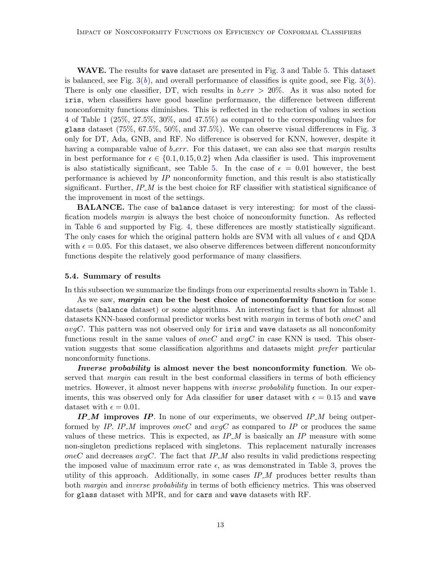WAVE. The results for wave dataset are presented in Fig. [3](#page-13-0) and Table [5.](#page-14-0) This dataset is balanced, see Fig.  $3(b)$  $3(b)$ , and overall performance of classifies is quite good, see Fig.  $3(b)$ . There is only one classifier, DT, wich results in  $b\_err > 20\%$ . As it was also noted for iris, when classifiers have good baseline performance, the difference between different nonconformity functions diminishes. This is reflected in the reduction of values in section 4 of Table [1](#page-4-0) (25%, 27.5%, 30%, and 47.5%) as compared to the corresponding values for glass dataset (75%, 67.5%, 50%, and 37.5%). We can observe visual differences in Fig. [3](#page-13-0) only for DT, Ada, GNB, and RF. No difference is observed for KNN, however, despite it having a comparable value of  $b_error$ . For this dataset, we can also see that *margin* results in best performance for  $\epsilon \in \{0.1, 0.15, 0.2\}$  when Ada classifier is used. This improvement is also statistically significant, see Table [5.](#page-14-0) In the case of  $\epsilon = 0.01$  however, the best performance is achieved by IP nonconformity function, and this result is also statistically significant. Further,  $IP_{-}M$  is the best choice for RF classifier with statistical significance of the improvement in most of the settings.

BALANCE. The case of balance dataset is very interesting: for most of the classification models *margin* is always the best choice of nonconformity function. As reflected in Table [6](#page-16-0) and supported by Fig. [4,](#page-15-0) these differences are mostly statistically significant. The only cases for which the original pattern holds are SVM with all values of  $\epsilon$  and QDA with  $\epsilon = 0.05$ . For this dataset, we also observe differences between different nonconformity functions despite the relatively good performance of many classifiers.

#### <span id="page-12-0"></span>5.4. Summary of results

In this subsection we summarize the findings from our experimental results shown in Table [1.](#page-4-0)

As we saw, *margin* can be the best choice of nonconformity function for some datasets (balance dataset) or some algorithms. An interesting fact is that for almost all datasets KNN-based conformal predictor works best with *margin* in terms of both *oneC* and  $avgC$ . This pattern was not observed only for iris and wave datasets as all nonconfomity functions result in the same values of *oneC* and  $avgC$  in case KNN is used. This observation suggests that some classification algorithms and datasets might prefer particular nonconformity functions.

Inverse probability is almost never the best nonconformity function. We observed that *margin* can result in the best conformal classifiers in terms of both efficiency metrics. However, it almost never happens with *inverse probability* function. In our experiments, this was observed only for Ada classifier for user dataset with  $\epsilon = 0.15$  and wave dataset with  $\epsilon = 0.01$ .

 $IP_{-}M$  improves IP. In none of our experiments, we observed IP $\_M$  being outperformed by IP. IP\_M improves oneC and  $avgC$  as compared to IP or produces the same values of these metrics. This is expected, as  $IP_{\mathcal{M}}$  is basically an  $IP$  measure with some non-singleton predictions replaced with singletons. This replacement naturally increases oneC and decreases  $avgC$ . The fact that  $IP_M$  also results in valid predictions respecting the imposed value of maximum error rate  $\epsilon$ , as was demonstrated in Table [3,](#page-6-1) proves the utility of this approach. Additionally, in some cases  $IP_{M}$  produces better results than both *margin* and *inverse probability* in terms of both efficiency metrics. This was observed for glass dataset with MPR, and for cars and wave datasets with RF.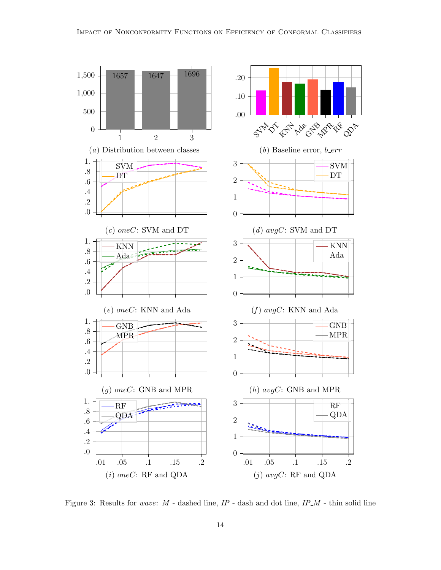<span id="page-13-1"></span>

<span id="page-13-0"></span>Figure 3: Results for wave:  $M$  - dashed line,  $IP$  - dash and dot line,  $IP_M$  - thin solid line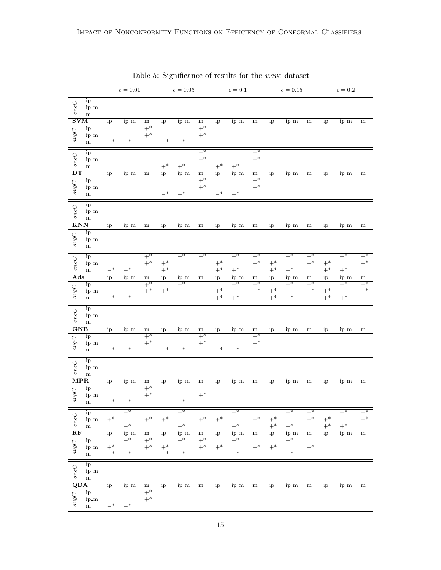|                                                                                                            |                           |               | $\epsilon=0.01$  |                |                | $\epsilon=0.05$                     |                                        |            | $\epsilon=0.1$             |                                  |                | $\epsilon=0.15$            |                            |                     | $\epsilon=0.2$           |                          |
|------------------------------------------------------------------------------------------------------------|---------------------------|---------------|------------------|----------------|----------------|-------------------------------------|----------------------------------------|------------|----------------------------|----------------------------------|----------------|----------------------------|----------------------------|---------------------|--------------------------|--------------------------|
| $oneC$                                                                                                     | ip<br>ip_m<br>m           |               |                  |                |                |                                     |                                        |            |                            |                                  |                |                            |                            |                     |                          |                          |
| $\overline{\mathrm{SVM}}$                                                                                  |                           | ip            | ip_m             | m              | ip             | ip_m                                | ${\rm m}$                              | ip         | ip_m                       | ${\rm m}$                        | ip             | ip_m                       | ${\rm m}$                  | ip                  | ip_m                     | m                        |
| $avgC$                                                                                                     | ip<br>$ip\_m$<br>m        | $-*$          | $-^{\ast}$       | $+^*$<br>$+^*$ | $-*$           | $-*$                                | $+^*$<br>$+^*$                         |            |                            |                                  |                |                            |                            |                     |                          |                          |
| $oneC$                                                                                                     | ip<br>ip_m<br>m           |               |                  |                | $+^*$          | $+^*$                               | $\overline{\phantom{a}}$<br>$-^{\ast}$ | $+^{\ast}$ | $+^*$                      | $\overline{\phantom{0}}$<br>$-*$ |                |                            |                            |                     |                          |                          |
| $\overline{DT}$                                                                                            |                           | ip            | ip_m             | ${\bf m}$      | ip             | ip_m                                | ${\bf m}$                              | ip         | ip_m                       | ${\bf m}$                        | ip             | ip_m                       | m                          | ip                  | ip_m                     | ${\rm m}$                |
| $avgC$                                                                                                     | ip<br>ip_m<br>${\rm m}$   |               |                  |                | $-*$           | $-*$                                | $\overline{+^*}$<br>$+^*$              | $-*$       | $-*$                       | $+\ast$<br>$+^*$                 |                |                            |                            |                     |                          |                          |
| $oneC$                                                                                                     | ip<br>ip_m<br>m           |               |                  |                |                |                                     |                                        |            |                            |                                  |                |                            |                            |                     |                          |                          |
| $\overline{\text{KNN}}$                                                                                    |                           | ip            | ip_m             | ${\bf m}$      | ip             | ip_m                                | ${\bf m}$                              | ip         | ip_m                       | ${\bf m}$                        | ip             | ip_m                       | ${\rm m}$                  | ip                  | ip_m                     | ${\bf m}$                |
| $avgC$                                                                                                     | ip<br>ip_m<br>${\bf m}$   |               |                  |                |                |                                     |                                        |            |                            |                                  |                |                            |                            |                     |                          |                          |
|                                                                                                            | ip                        |               |                  | $+^*$          |                | $\overline{\phantom{0}}$            | $\overline{\phantom{1}}^*$             |            | $\overline{\phantom{1}}^*$ | $\overline{\phantom{0}}^*$       |                | $\overline{\phantom{0}}^*$ | $-*$                       |                     | $\overline{\phantom{1}}$ | $\overline{\ast}$        |
| $oneC$                                                                                                     | ip_m                      |               |                  | $+^*$          | $+^*$          |                                     |                                        | $+^*$      |                            | $-*$                             | $+^*$          |                            | $-*$                       | $+^*$               |                          | $-*$                     |
|                                                                                                            | ${\bf m}$                 | —*            | $-*$             |                | $+^*$          |                                     |                                        | $+^*$      | $+^*$                      |                                  | $+^*$          | $+^*$                      |                            | $+^*$               | $+^*$                    |                          |
| Ada                                                                                                        |                           | ip            | ip_m             | ${\bf m}$      | ip             | ip_m                                | ${\bf m}$                              | ip         | ip_m                       | ${\bf m}$                        | ip             | ip_m                       | m                          | ip                  | ip_m                     | ${\bf m}$                |
|                                                                                                            | ip                        |               |                  | $+\ast$        |                | $\overline{\phantom{1}}^*$          |                                        |            | $\overline{\phantom{a}}$   | $\overline{\phantom{0}}^*$       |                | $\overline{\phantom{1}}^*$ | $\overline{\phantom{1}}^*$ |                     | $\overline{\phantom{a}}$ | $\overline{\phantom{1}}$ |
| $avgC$                                                                                                     | ip_m                      | $-*$          | $-*$             | $+^*$          | $+^*$          |                                     |                                        | $+^*$      |                            | $-*$                             | $+^*$          |                            | $-*$                       | $+^*$               |                          | $-$ *                    |
|                                                                                                            | ${\bf m}$                 |               |                  |                |                |                                     |                                        | $+^*$      | $+^*$                      |                                  | $+^*$          | $+^{\ast}$                 |                            | $+^*$               | $+^*$                    |                          |
| $oneC$                                                                                                     | ip<br>ip_m<br>m           |               |                  |                |                |                                     |                                        |            |                            |                                  |                |                            |                            |                     |                          |                          |
| $\overline{\textbf{GNB}}$                                                                                  |                           | ip            | ip_m             | ${\bf m}$      | ip             | ip_m                                | ${\rm m}$                              | ip         | ip_m                       | ${\rm m}$                        | ip             | ip_m                       | ${\rm m}$                  | ip                  | ip_m                     | ${\bf m}$                |
| $avgC$                                                                                                     | ip<br>ip_m<br>${\bf m}$   | —*            | $-*$             | $+^*$<br>$+^*$ | $-*$           | $-*$                                | $+^*$<br>$+^*$                         | $-*$       | $-*$                       | $+^*$<br>$+^*$                   |                |                            |                            |                     |                          |                          |
| $oneC$                                                                                                     | ip<br>ip_m<br>m           |               |                  |                |                |                                     |                                        |            |                            |                                  |                |                            |                            |                     |                          |                          |
| $\overline{\mbox{MPR}}$                                                                                    |                           | ip            | ip_m             | ${\bf m}$      | ip             | ip_m                                | ${\rm m}$                              | ip         | ip_m                       | ${\bf m}$                        | ip             | ip_m                       | ${\rm m}$                  | ip                  | ip_m                     | ${\bf m}$                |
| $avgC$                                                                                                     | ip<br>ip_m<br>${\bf m}$   | $-*$          | $-*$             | $+^*$<br>$+^*$ |                | $-*$                                | $+^*$                                  |            |                            |                                  |                |                            |                            |                     |                          |                          |
|                                                                                                            |                           |               | $-$ *            |                |                | $-$ *                               |                                        |            | $-$ *                      |                                  |                | $-$ *                      |                            |                     | $-$ *                    |                          |
| $rac{C}{\mathbf{R}\mathbf{F}}$                                                                             | ip<br>ip_m<br>$\mathbf m$ | $+^{\ast}$    | $-$ *            | $+^{\ast}$     | $+^*$          | $-$ *                               | $+^*$                                  | $+^{\ast}$ | $-$ *                      | $+^*$                            | $+^*$<br>$+^*$ | $+^*$                      | $-$ *                      | $+^{\ast}$<br>$+^*$ | $+^*$                    | $-$ *                    |
|                                                                                                            |                           | ip            | $ip_m$           | ${\bf m}$      | ip             | ip_m                                | ${\bf m}$                              | ip         | $ip_{m}$                   | ${\bf m}$                        | ip             | $\frac{ip_{-}m}{-}$        | ${\bf m}$                  | ip                  | ip_m                     | ${\bf m}$                |
| $ $ avgC                                                                                                   | ip<br>ip_m<br>${\rm m}$   | $+{}^{*}_{-}$ | $-\ast$<br>$-$ * | $+^*$<br>$+^*$ | $+^*$<br>$-$ * | $\overline{\phantom{0}}^*$<br>$-$ * | $+^*$<br>$+^*$                         | $+^*$      | $-$ *<br>$-$ *             | $+^{\ast}$                       | $+^*$          | $-$ *                      | $+^{\ast}$                 |                     |                          |                          |
| $\begin{tabular}{c c} \hline \quad U & ij \\ \hline U & ij \\ g & ij \\ \hline \textbf{QDA} \end{tabular}$ | ip<br>ip_m<br>${\rm m}$   |               |                  |                |                |                                     |                                        |            |                            |                                  |                |                            |                            |                     |                          |                          |
|                                                                                                            |                           | ip            | ip_m             | ${\bf m}$      | ip             | ip_m                                | ${\bf m}$                              | ip         | ip_m                       | ${\bf m}$                        | ip             | ip_m                       | ${\bf m}$                  | ip                  | ip_m                     | ${\bf m}$                |
| logC                                                                                                       | ip<br>ip_m<br>$\mathbf m$ | $-$ *         | $-*$             | $+^*$<br>$+^*$ |                |                                     |                                        |            |                            |                                  |                |                            |                            |                     |                          |                          |

<span id="page-14-0"></span>Table 5: Significance of results for the wave dataset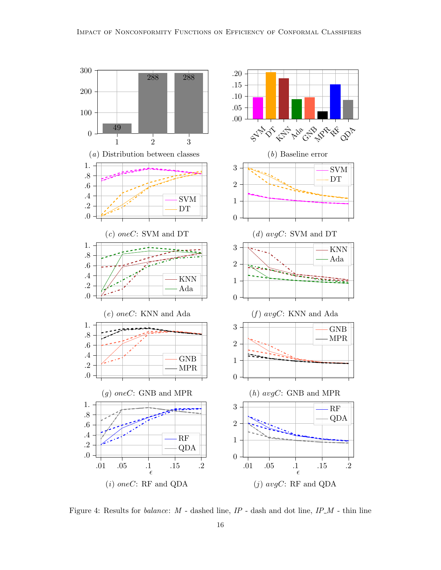

<span id="page-15-0"></span>Figure 4: Results for *balance*:  $M$  - dashed line,  $IP$  - dash and dot line,  $IP_M$  - thin line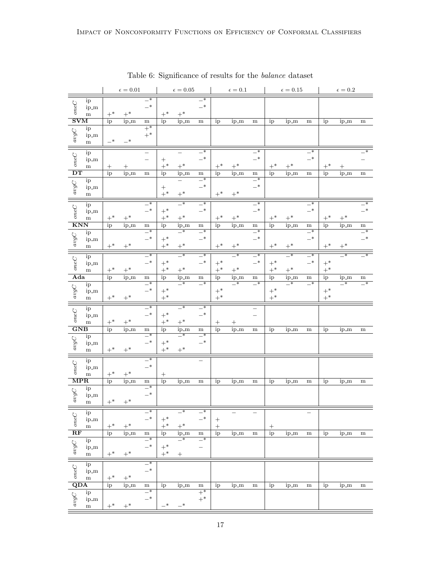|                                                                                                 |                      |                 | $\epsilon=0.01$ |                               |                           | $\epsilon=0.05$                  |                            |                  | $\epsilon=0.1$             |                                         |            | $\epsilon=0.15$            |                            |            | $\epsilon=0.2$             |                          |
|-------------------------------------------------------------------------------------------------|----------------------|-----------------|-----------------|-------------------------------|---------------------------|----------------------------------|----------------------------|------------------|----------------------------|-----------------------------------------|------------|----------------------------|----------------------------|------------|----------------------------|--------------------------|
|                                                                                                 | ip                   |                 |                 | $\overline{\phantom{1}}^*$    |                           |                                  | $\overline{\phantom{1}}^*$ |                  |                            |                                         |            |                            |                            |            |                            |                          |
| $oneC$                                                                                          | ip_m                 |                 |                 | $-*$                          |                           |                                  | $-*$                       |                  |                            |                                         |            |                            |                            |            |                            |                          |
|                                                                                                 | m                    | $+^*$           | $+^*$           |                               | $+^{\ast}$                | $+^*$                            |                            |                  |                            |                                         |            |                            |                            |            |                            |                          |
| $\overline{\mathrm{SVM}}$                                                                       |                      | ip              | ip_m            | ${\bf m}$                     | ip                        | ip_m                             | ${\bf m}$                  | ip               | ip_m                       | m                                       | ip         | ip_m                       | ${\rm m}$                  | ip         | ip_m                       | ${\bf m}$                |
|                                                                                                 | ip                   |                 |                 | $+\ast$                       |                           |                                  |                            |                  |                            |                                         |            |                            |                            |            |                            |                          |
|                                                                                                 | ip_m                 |                 |                 | $+^*$                         |                           |                                  |                            |                  |                            |                                         |            |                            |                            |            |                            |                          |
| $avgC$                                                                                          | ${\bf m}$            | $_{-*}$         | $-*$            |                               |                           |                                  |                            |                  |                            |                                         |            |                            |                            |            |                            |                          |
|                                                                                                 |                      |                 |                 |                               |                           |                                  |                            |                  |                            | $\overline{\phantom{0}}^*$              |            |                            |                            |            |                            |                          |
| $oneC$                                                                                          | ip                   |                 |                 |                               |                           |                                  | $-*$<br>$-$ *              |                  |                            | $-*$                                    |            |                            | $-*$<br>$-$ *              |            |                            |                          |
|                                                                                                 | ip_m                 |                 |                 |                               | $\boldsymbol{+}$<br>$+^*$ | $+^*$                            |                            |                  | $+^*$                      |                                         | $+^*$      | $+^{\ast}$                 |                            |            |                            |                          |
| $\overline{\mathbf{D} \mathbf{T}}$                                                              | m                    |                 |                 |                               |                           |                                  |                            | $+^{\ast}$       |                            |                                         |            |                            |                            | $+^*$      |                            |                          |
|                                                                                                 |                      | ip              | ip_m            | m                             | ip                        | ip_m<br>$\overline{\phantom{0}}$ | ${\bf m}$<br>$-*$          | ip               | ip_m                       | ${\bf m}$<br>$\overline{\phantom{0}}^*$ | ip         | ip_m                       | $\, {\rm m}$               | ip         | ip_m                       | ${\bf m}$                |
| $avgC$                                                                                          | ip<br>ip_m           |                 |                 |                               |                           |                                  | $-$ *                      |                  |                            | $-^*$                                   |            |                            |                            |            |                            |                          |
|                                                                                                 | ${\bf m}$            |                 |                 |                               | $^+$<br>$+^*$             | $+^*$                            |                            | $+^*$            | $+^*$                      |                                         |            |                            |                            |            |                            |                          |
|                                                                                                 |                      |                 |                 |                               |                           |                                  |                            |                  |                            |                                         |            |                            |                            |            |                            |                          |
| oneC                                                                                            | ip                   |                 |                 | $-*$                          |                           | $-*$                             | $-{}^*$                    |                  |                            | $-*$                                    |            |                            | $-*$                       |            |                            | $\overline{\phantom{0}}$ |
|                                                                                                 | ip_m                 |                 |                 | $-*$                          | $+^*$                     |                                  | $-*$                       |                  |                            | $-*$                                    |            |                            | $-*$                       |            |                            | $-$ *                    |
|                                                                                                 | m                    | $+^{\ast}$      | $+^{\ast}$      |                               | $+^{\ast}$                | $+^{\ast}$                       |                            | $+^*$            | $+^{\ast}$                 |                                         | $+^{\ast}$ | $+^*$                      |                            | $+^{\ast}$ | $+^{\ast}$                 |                          |
| $\overline{\text{KNN}}$                                                                         |                      | ip              | ip_m            | ${\bf m}$                     | ip                        | ip_m                             | ${\bf m}$                  | ip               | ip_m                       | ${\bf m}$                               | ip         | ip_m                       | ${\bf m}$                  | ip         | ip_m                       | ${\bf m}$                |
|                                                                                                 | ip                   |                 |                 | $\overline{\phantom{0}}^*$    |                           | $_{-*}$                          | $-*$                       |                  |                            | $-*$                                    |            |                            | $-*$                       |            |                            | $-*$                     |
| $avgC$                                                                                          | ip_m                 |                 |                 | $-*$                          | $+^*$                     |                                  | $-$ *                      |                  |                            | $-$ *                                   |            |                            | $-^\ast$                   |            |                            | $-$ *                    |
|                                                                                                 | ${\rm m}$            | $+^{\ast}$      | $+^{\ast}$      |                               | $+^*$                     | $+^*$                            |                            | $+^{\ast}$       | $+^*$                      |                                         | $+^*$      | $+^*$                      |                            | $+^*$      | $+^*$                      |                          |
|                                                                                                 | ip                   |                 |                 | $\overline{\phantom{a}}$      |                           | $\overline{\phantom{0}}^*$       | $\overline{\phantom{0}}^*$ |                  | $\overline{\phantom{0}}^*$ | $\overline{\phantom{0}}$                |            | $\overline{\phantom{0}}^*$ | $\overline{\phantom{1}}^*$ |            | $\overline{\phantom{0}}$   | $\overline{\phantom{1}}$ |
| oneC                                                                                            | ip_m                 |                 |                 | $-*$                          | $+^*$                     |                                  | $-^{\ast}$                 | $+^*$            |                            | $-*$                                    | $+^*$      |                            | $-*$                       | $+^*$      |                            |                          |
|                                                                                                 | m                    | $+^*$           | $+^*$           |                               | $+^{\ast}$                | $+^*$                            |                            | $+^*$            | $+^{\ast}$                 |                                         | $+^{\ast}$ | $+^*$                      |                            | $+^{\ast}$ |                            |                          |
| Ada                                                                                             |                      | ip              | ip_m            | ${\bf m}$                     | ip                        | ip_m                             | ${\bf m}$                  | ip               | ip_m                       | ${\bf m}$                               | ip         | ip_m                       | m                          | ip         | ip_m                       | ${\rm m}$                |
|                                                                                                 | ip                   |                 |                 | $\overline{\phantom{0}}$      |                           | $\overline{\phantom{0}}^*$       | $\overline{\phantom{0}}$   |                  | $\overline{\phantom{0}}$   | $\overline{\phantom{0}}$                |            | $\overline{\phantom{0}}^*$ | $\overline{\phantom{0}}^*$ |            | $\overline{\phantom{0}}^*$ | $-*$                     |
| $avgC$                                                                                          | ip_m                 |                 |                 | $-*$                          | $+^*$                     |                                  |                            | $+^*$            |                            |                                         | $+^*$      |                            |                            | $+^*$      |                            |                          |
|                                                                                                 | $\mathbf{m}$         | $+^*$           |                 |                               |                           |                                  |                            |                  |                            |                                         |            |                            |                            |            |                            |                          |
|                                                                                                 |                      |                 | $+^{\ast}$      |                               | $+^*$                     |                                  |                            | $+^*$            |                            |                                         | $+^{\ast}$ |                            |                            | $+^{\ast}$ |                            |                          |
|                                                                                                 |                      |                 |                 | $_{-*}$                       |                           | $-*$                             | $-*$                       |                  |                            |                                         |            |                            |                            |            |                            |                          |
|                                                                                                 | ip                   |                 |                 | $-*$                          |                           |                                  |                            |                  |                            | $\overline{\phantom{0}}$                |            |                            |                            |            |                            |                          |
| $oneC$                                                                                          | ip_m                 |                 |                 |                               | $+^*$                     |                                  | $-^{\ast}$                 |                  |                            |                                         |            |                            |                            |            |                            |                          |
|                                                                                                 | ${\rm m}$            | $+^*$           | $+^*$           | ${\bf m}$                     | $+^*$                     | $+^*$                            |                            | $\boldsymbol{+}$ |                            |                                         |            |                            |                            |            |                            |                          |
| GNB                                                                                             |                      | ip              | ip_m            | $\overline{\phantom{0}}$      | ip                        | ip_m<br>$\overline{\phantom{1}}$ | ${\bf m}$<br>$-*$          | ip               | ip_m                       | $\, {\rm m}$                            | ip         | ip_m                       | m                          | ip         | ip_m                       | ${\rm m}$                |
|                                                                                                 | ip<br>ip_m           |                 |                 | $-*$                          | $+^*$                     |                                  | $-$ *                      |                  |                            |                                         |            |                            |                            |            |                            |                          |
| $avgC$                                                                                          | ${\bf m}$            | $+^*$           | $+^*$           |                               | $+^{\ast}$                | $+^*$                            |                            |                  |                            |                                         |            |                            |                            |            |                            |                          |
|                                                                                                 |                      |                 |                 |                               |                           |                                  |                            |                  |                            |                                         |            |                            |                            |            |                            |                          |
|                                                                                                 | ip                   |                 |                 | $\overline{\phantom{1}}^*$    |                           |                                  |                            |                  |                            |                                         |            |                            |                            |            |                            |                          |
|                                                                                                 | ip_m                 |                 |                 | $-*$                          |                           |                                  |                            |                  |                            |                                         |            |                            |                            |            |                            |                          |
| oneC                                                                                            | m                    | $+^{\ast}$      | $+^*$           |                               | $^{+}$                    |                                  |                            |                  |                            |                                         |            |                            |                            |            |                            |                          |
| $\overline{\text{MPR}}$                                                                         |                      | ip              | ip_m            | m<br>$\overline{\phantom{0}}$ | ip                        | ip_m                             | ${\rm m}$                  | ip               | ip_m                       | $\, {\rm m}$                            | ip         | ip_m                       | m                          | ip         | ip_m                       | ${\bf m}$                |
|                                                                                                 | ip                   |                 |                 |                               |                           |                                  |                            |                  |                            |                                         |            |                            |                            |            |                            |                          |
| $avgC$                                                                                          | ip_m                 |                 |                 | $-$ *                         |                           |                                  |                            |                  |                            |                                         |            |                            |                            |            |                            |                          |
|                                                                                                 | ${\rm m}$            | $+^*$           | $+^{\ast}$      |                               |                           |                                  |                            |                  |                            |                                         |            |                            |                            |            |                            |                          |
|                                                                                                 | ip                   |                 |                 | $\overline{\phantom{a}}$      |                           | $-$ *                            | $-$ *                      |                  |                            |                                         |            |                            |                            |            |                            |                          |
|                                                                                                 | ip_m                 |                 |                 | $-*$                          | $+^*$                     |                                  | $-*$                       | $^{+}$           |                            |                                         |            |                            |                            |            |                            |                          |
|                                                                                                 | $\mathbf m$          | $+^*$           | $+^{\ast}$      |                               | $+^*$                     | $+^*$                            |                            | $\ddot{}$        |                            |                                         | $^+$       |                            |                            |            |                            |                          |
| $rac{C}{\mathbf{RF}}$                                                                           |                      | ip              | ip_m            | ${\rm m}$                     | ip                        | ip_m                             | ${\bf m}$                  | ip               | ip_m                       | ${\bf m}$                               | ip         | $ip_m$                     | ${\bf m}$                  | ip         | ip_m                       | ${\bf m}$                |
|                                                                                                 | ip                   |                 |                 | $\overline{\phantom{0}}$      |                           | $\overline{\phantom{0}}$         | $\overline{\phantom{0}}^*$ |                  |                            |                                         |            |                            |                            |            |                            |                          |
|                                                                                                 | ip_m                 |                 |                 | $-*$                          | $+^*$                     |                                  | —                          |                  |                            |                                         |            |                            |                            |            |                            |                          |
| avgC                                                                                            | $\mathbf{m}$         | $+^*$           | $+^*$           |                               | $+^*$                     | $^+$                             |                            |                  |                            |                                         |            |                            |                            |            |                            |                          |
|                                                                                                 | ip                   |                 |                 | $-*$                          |                           |                                  |                            |                  |                            |                                         |            |                            |                            |            |                            |                          |
|                                                                                                 | ip_m                 |                 |                 | $-$ *                         |                           |                                  |                            |                  |                            |                                         |            |                            |                            |            |                            |                          |
|                                                                                                 | m                    | $+^*$           | $+^*$           |                               |                           |                                  |                            |                  |                            |                                         |            |                            |                            |            |                            |                          |
|                                                                                                 |                      | $\overline{ip}$ | ip_m            | ${\bf m}$                     | ip                        | ip_m                             | ${\rm m}$                  | ip               | ip_m                       | ${\rm m}$                               | ip         | ip_m                       | ${\rm m}$                  | ip         | ip_m                       | ${\rm m}$                |
| $\begin{array}{c}\n\hline\n\text{Q} \\ \hline\n\text{Q} \\ \text{S} \\ \text{QDA}\n\end{array}$ | ip                   |                 |                 | —*                            |                           |                                  | $+^*$                      |                  |                            |                                         |            |                            |                            |            |                            |                          |
| $avgC$                                                                                          | ip_m<br>$\mathbf{m}$ | $+^{\ast}$      | $+^*$           | $-*$                          | $-*$                      | $-*$                             | $+^*$                      |                  |                            |                                         |            |                            |                            |            |                            |                          |

<span id="page-16-0"></span>Table 6: Significance of results for the balance dataset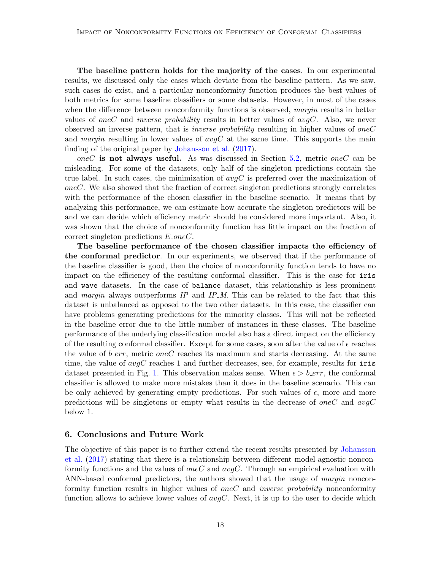The baseline pattern holds for the majority of the cases. In our experimental results, we discussed only the cases which deviate from the baseline pattern. As we saw, such cases do exist, and a particular nonconformity function produces the best values of both metrics for some baseline classifiers or some datasets. However, in most of the cases when the difference between nonconformity functions is observed, *margin* results in better values of oneC and inverse probability results in better values of  $avgC$ . Also, we never observed an inverse pattern, that is *inverse probability* resulting in higher values of *oneC* and margin resulting in lower values of  $avgC$  at the same time. This supports the main finding of the original paper by [Johansson et al.](#page-19-3) [\(2017\)](#page-19-3).

oneC is not always useful. As was discussed in Section [5.2,](#page-6-0) metric oneC can be misleading. For some of the datasets, only half of the singleton predictions contain the true label. In such cases, the minimization of  $avgC$  is preferred over the maximization of oneC. We also showed that the fraction of correct singleton predictions strongly correlates with the performance of the chosen classifier in the baseline scenario. It means that by analyzing this performance, we can estimate how accurate the singleton predictors will be and we can decide which efficiency metric should be considered more important. Also, it was shown that the choice of nonconformity function has little impact on the fraction of correct singleton predictions  $E\_{one}$ .

The baseline performance of the chosen classifier impacts the efficiency of the conformal predictor. In our experiments, we observed that if the performance of the baseline classifier is good, then the choice of nonconformity function tends to have no impact on the efficiency of the resulting conformal classifier. This is the case for iris and wave datasets. In the case of balance dataset, this relationship is less prominent and margin always outperforms  $IP$  and  $IP_M$ . This can be related to the fact that this dataset is unbalanced as opposed to the two other datasets. In this case, the classifier can have problems generating predictions for the minority classes. This will not be reflected in the baseline error due to the little number of instances in these classes. The baseline performance of the underlying classification model also has a direct impact on the efficiency of the resulting conformal classifier. Except for some cases, soon after the value of  $\epsilon$  reaches the value of  $b\_err$ , metric oneC reaches its maximum and starts decreasing. At the same time, the value of  $avgC$  reaches 1 and further decreases, see, for example, results for iris dataset presented in Fig. [1.](#page-9-0) This observation makes sense. When  $\epsilon > b\_err$ , the conformal classifier is allowed to make more mistakes than it does in the baseline scenario. This can be only achieved by generating empty predictions. For such values of  $\epsilon$ , more and more predictions will be singletons or empty what results in the decrease of oneC and  $avgC$ below 1.

#### <span id="page-17-0"></span>6. Conclusions and Future Work

The objective of this paper is to further extend the recent results presented by [Johansson](#page-19-3) [et al.](#page-19-3) [\(2017\)](#page-19-3) stating that there is a relationship between different model-agnostic nonconformity functions and the values of *oneC* and  $\alpha \nu qC$ . Through an empirical evaluation with ANN-based conformal predictors, the authors showed that the usage of *margin* nonconformity function results in higher values of *oneC* and *inverse probability* nonconformity function allows to achieve lower values of  $avgC$ . Next, it is up to the user to decide which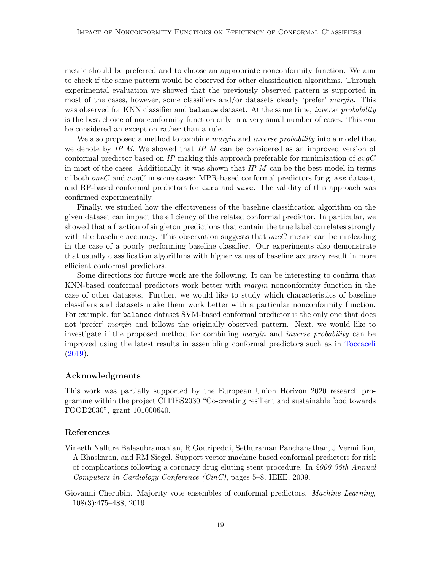metric should be preferred and to choose an appropriate nonconformity function. We aim to check if the same pattern would be observed for other classification algorithms. Through experimental evaluation we showed that the previously observed pattern is supported in most of the cases, however, some classifiers and/or datasets clearly 'prefer' margin. This was observed for KNN classifier and balance dataset. At the same time, *inverse probability* is the best choice of nonconformity function only in a very small number of cases. This can be considered an exception rather than a rule.

We also proposed a method to combine *margin* and *inverse probability* into a model that we denote by  $IP_{\mathcal{M}}$ . We showed that  $IP_{\mathcal{M}}$  can be considered as an improved version of conformal predictor based on IP making this approach preferable for minimization of  $avgC$ in most of the cases. Additionally, it was shown that  $IP_M$  can be the best model in terms of both oneC and  $avgC$  in some cases: MPR-based conformal predictors for glass dataset, and RF-based conformal predictors for cars and wave. The validity of this approach was confirmed experimentally.

Finally, we studied how the effectiveness of the baseline classification algorithm on the given dataset can impact the efficiency of the related conformal predictor. In particular, we showed that a fraction of singleton predictions that contain the true label correlates strongly with the baseline accuracy. This observation suggests that  $oneC$  metric can be misleading in the case of a poorly performing baseline classifier. Our experiments also demonstrate that usually classification algorithms with higher values of baseline accuracy result in more efficient conformal predictors.

Some directions for future work are the following. It can be interesting to confirm that KNN-based conformal predictors work better with margin nonconformity function in the case of other datasets. Further, we would like to study which characteristics of baseline classifiers and datasets make them work better with a particular nonconformity function. For example, for balance dataset SVM-based conformal predictor is the only one that does not 'prefer' *margin* and follows the originally observed pattern. Next, we would like to investigate if the proposed method for combining margin and inverse probability can be improved using the latest results in assembling conformal predictors such as in [Toccaceli](#page-19-13) [\(2019\)](#page-19-13).

#### Acknowledgments

This work was partially supported by the European Union Horizon 2020 research programme within the project CITIES2030 "Co-creating resilient and sustainable food towards FOOD2030", grant 101000640.

## References

- <span id="page-18-0"></span>Vineeth Nallure Balasubramanian, R Gouripeddi, Sethuraman Panchanathan, J Vermillion, A Bhaskaran, and RM Siegel. Support vector machine based conformal predictors for risk of complications following a coronary drug eluting stent procedure. In 2009 36th Annual Computers in Cardiology Conference (CinC), pages 5–8. IEEE, 2009.
- <span id="page-18-1"></span>Giovanni Cherubin. Majority vote ensembles of conformal predictors. Machine Learning, 108(3):475–488, 2019.